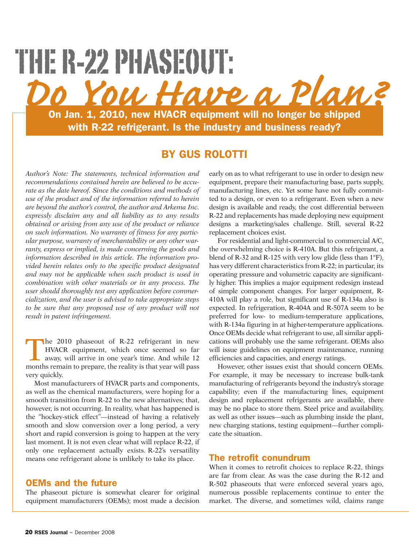# **On Jan. 1, 2010, new HVACR equipment will no longer be shipped with R-22 refrigerant. Is the industry and business ready?** *Do You Have a Plan?* THE R-22 PHASEOUT:

## **BY GUS ROLOTTI**

*Author's Note: The statements, technical information and recommendations contained herein are believed to be accurate as the date hereof. Since the conditions and methods of use of the product and of the information referred to herein are beyond the author's control, the author and Arkema Inc. expressly disclaim any and all liability as to any results obtained or arising from any use of the product or reliance on such information. No warranty of fitness for any particular purpose, warranty of merchantability or any other warranty, express or implied, is made concerning the goods and information described in this article. The information provided herein relates only to the specific product designated and may not be applicable when such product is used in combination with other materials or in any process. The user should thoroughly test any application before commercialization, and the user is advised to take appropriate steps to be sure that any proposed use of any product will not result in patent infringement.*

The 2010 phaseout of R-22 refrigerant in new HVACR equipment, which once seemed so far away, will arrive in one year's time. And while 12 months remain to prepare, the reality is that year will pass very quickly.

Most manufacturers of HVACR parts and components, as well as the chemical manufacturers, were hoping for a smooth transition from R-22 to the new alternatives; that, however, is not occurring. In reality, what has happened is the "hockey-stick effect"—instead of having a relatively smooth and slow conversion over a long period, a very short and rapid conversion is going to happen at the very last moment. It is not even clear what will replace R-22, if only one replacement actually exists. R-22's versatility means one refrigerant alone is unlikely to take its place.

#### **OEMs and the future**

The phaseout picture is somewhat clearer for original equipment manufacturers (OEMs); most made a decision early on as to what refrigerant to use in order to design new equipment, prepare their manufacturing base, parts supply, manufacturing lines, etc. Yet some have not fully committed to a design, or even to a refrigerant. Even when a new design is available and ready, the cost differential between R-22 and replacements has made deploying new equipment designs a marketing/sales challenge. Still, several R-22 replacement choices exist.

For residential and light-commercial to commercial A/C, the overwhelming choice is R-410A. But this refrigerant, a blend of R-32 and R-125 with very low glide (less than 1°F), has very different characteristics from R-22; in particular, its operating pressure and volumetric capacity are significantly higher. This implies a major equipment redesign instead of simple component changes. For larger equipment, R-410A will play a role, but significant use of R-134a also is expected. In refrigeration, R-404A and R-507A seem to be preferred for low- to medium-temperature applications, with R-134a figuring in at higher-temperature applications. Once OEMs decide what refrigerant to use, all similar applications will probably use the same refrigerant. OEMs also will issue guidelines on equipment maintenance, running efficiencies and capacities, and energy ratings.

However, other issues exist that should concern OEMs. For example, it may be necessary to increase bulk-tank manufacturing of refrigerants beyond the industry's storage capability; even if the manufacturing lines, equipment design and replacement refrigerants are available, there may be no place to store them. Steel price and availability, as well as other issues—such as plumbing inside the plant, new charging stations, testing equipment—further complicate the situation.

#### **The retrofit conundrum**

When it comes to retrofit choices to replace R-22, things are far from clear. As was the case during the R-12 and R-502 phaseouts that were enforced several years ago, numerous possible replacements continue to enter the market. The diverse, and sometimes wild, claims range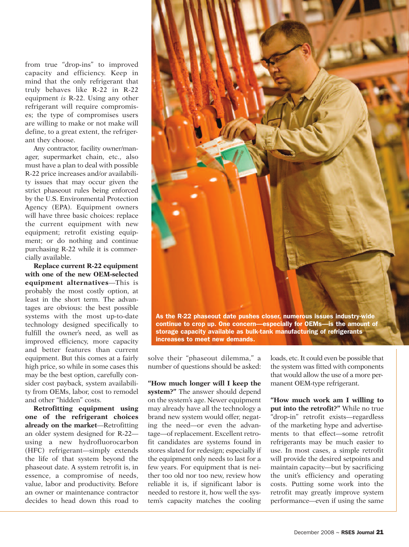from true "drop-ins" to improved capacity and efficiency. Keep in mind that the only refrigerant that truly behaves like R-22 in R-22 equipment *is* R-22. Using any other refrigerant will require compromises; the type of compromises users are willing to make or not make will define, to a great extent, the refrigerant they choose.

Any contractor, facility owner/manager, supermarket chain, etc., also must have a plan to deal with possible R-22 price increases and/or availability issues that may occur given the strict phaseout rules being enforced by the U.S. Environmental Protection Agency (EPA). Equipment owners will have three basic choices: replace the current equipment with new equipment; retrofit existing equipment; or do nothing and continue purchasing R-22 while it is commercially available.

**Replace current R-22 equipment with one of the new OEM-selected equipment alternatives**—This is probably the most costly option, at least in the short term. The advantages are obvious: the best possible systems with the most up-to-date technology designed specifically to fulfill the owner's need, as well as improved efficiency, more capacity and better features than current equipment. But this comes at a fairly high price, so while in some cases this may be the best option, carefully consider cost payback, system availability from OEMs, labor, cost to remodel and other "hidden" costs.

**Retrofitting equipment using one of the refrigerant choices already on the market**—Retrofitting an older system designed for R-22 using a new hydrofluorocarbon (HFC) refrigerant—simply extends the life of that system beyond the phaseout date. A system retrofit is, in essence, a compromise of needs, value, labor and productivity. Before an owner or maintenance contractor decides to head down this road to



solve their "phaseout dilemma," a number of questions should be asked:

**"How much longer will I keep the system?"** The answer should depend on the system's age. Newer equipment may already have all the technology a brand new system would offer, negating the need—or even the advantage—of replacement. Excellent retrofit candidates are systems found in stores slated for redesign; especially if the equipment only needs to last for a few years. For equipment that is neither too old nor too new, review how reliable it is, if significant labor is needed to restore it, how well the system's capacity matches the cooling loads, etc.It could even be possible that the system was fitted with components that would allow the use of a more permanent OEM-type refrigerant.

**"How much work am I willing to put into the retrofit?"** While no true "drop-in" retrofit exists—regardless of the marketing hype and advertisements to that effect—some retrofit refrigerants may be much easier to use. In most cases, a simple retrofit will provide the desired setpoints and maintain capacity—but by sacrificing the unit's efficiency and operating costs. Putting some work into the retrofit may greatly improve system performance—even if using the same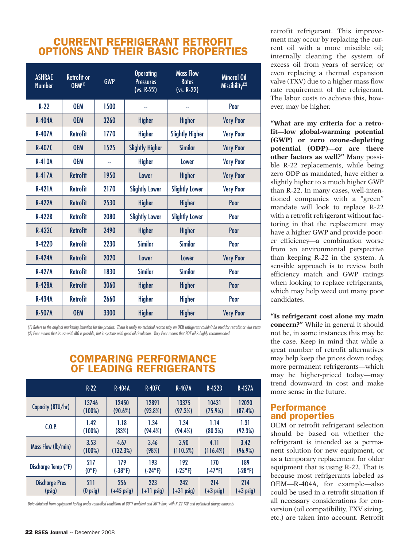## **CURRENT REFRIGERANT RETROFIT OPTIONS AND THEIR BASIC PROPERTIES**

| <b>ASHRAE</b><br><b>Number</b> | <b>Retrofit or</b><br><b>OEM(1)</b> | <b>GWP</b> | <b>Operating</b><br><b>Pressures</b><br>(vs. R-22) | <b>Mass Flow</b><br><b>Rates</b><br>$(vs. R-22)$ | <b>Mineral Oil</b><br>Miscibility <sup>(2)</sup> |  |
|--------------------------------|-------------------------------------|------------|----------------------------------------------------|--------------------------------------------------|--------------------------------------------------|--|
| $R-22$                         | <b>OEM</b>                          | 1500       |                                                    |                                                  | Poor                                             |  |
| <b>R-404A</b>                  | <b>OEM</b>                          | 3260       | <b>Higher</b>                                      | <b>Higher</b>                                    | <b>Very Poor</b>                                 |  |
| <b>R-407A</b>                  | <b>Retrofit</b>                     | 1770       | Higher                                             | <b>Slightly Higher</b>                           | <b>Very Poor</b>                                 |  |
| <b>R-407C</b>                  | <b>OEM</b>                          | 1525       | <b>Slightly Higher</b>                             | <b>Similar</b>                                   | <b>Very Poor</b>                                 |  |
| <b>R-410A</b>                  | <b>OEM</b>                          | 44         | <b>Higher</b>                                      | <b>Lower</b>                                     | <b>Very Poor</b>                                 |  |
| <b>R-417A</b>                  | <b>Retrofit</b>                     | 1950       | <b>Lower</b>                                       | <b>Higher</b>                                    | <b>Very Poor</b>                                 |  |
| <b>R-421A</b>                  | <b>Retrofit</b>                     | 2170       | <b>Slightly Lower</b>                              | <b>Slightly Lower</b>                            | <b>Very Poor</b>                                 |  |
| <b>R-422A</b>                  | <b>Retrofit</b>                     | 2530       | Higher                                             | <b>Higher</b>                                    | Poor                                             |  |
| <b>R-422B</b>                  | <b>Retrofit</b>                     | 2080       | <b>Slightly Lower</b>                              | <b>Slightly Lower</b>                            | Poor                                             |  |
| <b>R-422C</b>                  | <b>Retrofit</b>                     | 2490       | <b>Higher</b>                                      | <b>Higher</b>                                    | Poor                                             |  |
| <b>R-422D</b>                  | <b>Retrofit</b>                     | 2230       | <b>Similar</b>                                     | <b>Similar</b>                                   | Poor                                             |  |
| <b>R-424A</b>                  | <b>Retrofit</b>                     | 2020       | Lower                                              | Lower                                            | <b>Very Poor</b>                                 |  |
| <b>R-427A</b>                  | <b>Retrofit</b>                     | 1830       | <b>Similar</b>                                     | <b>Similar</b>                                   | Poor                                             |  |
| <b>R-428A</b>                  | <b>Retrofit</b>                     | 3060       | <b>Higher</b>                                      | <b>Higher</b>                                    | Poor                                             |  |
| <b>R-434A</b>                  | <b>Retrofit</b>                     | 2660       | <b>Higher</b>                                      | <b>Higher</b>                                    | Poor                                             |  |
| <b>R-507A</b>                  | <b>OEM</b>                          | 3300       | <b>Higher</b>                                      | <b>Higher</b>                                    | <b>Very Poor</b>                                 |  |

(1) Refers to the original marketing intention for the product. There is really no technical reason why an OEM refrigerant couldn't be used for retrofits or vice versa (2) Poor means that its use with MO is possible, but in systems with good oil circulation. Very Poor means that POE oil is highly recommended.

## R **OF LEADING REFRIGERANTS COMPARING PERFORMANCE**

|                       | $R-22$             | <b>R-404A</b>    | R-407C        | <b>R-407A</b> | <b>R-422D</b> | <b>R-427A</b> |
|-----------------------|--------------------|------------------|---------------|---------------|---------------|---------------|
| Capacity (BTU/hr)     | 13746              | 12450            | 12891         | 13375         | 10431         | 12020         |
|                       | (100%)             | (90.6%)          | $(93.8\%)$    | (97.3%)       | (75.9%)       | (87.4%)       |
| C <sub>0.8</sub>      | 1.42               | 1.18             | 1.34          | 1.34          | 1.14          | 1.31          |
|                       | (100%)             | (83%)            | $(94.4\%)$    | $(94.4\%)$    | (80.3%)       | (92.3%)       |
| Mass Flow (lb/min)    | 3.53               | 4.67             | 3.46          | 3.90          | 4.11          | 3.42          |
|                       | (100%)             | (132.3%)         | (98%)         | (110.5%)      | (116.4%)      | $(96.9\%)$    |
| Discharge Temp (°F)   | 217                | 179              | 193           | 192           | 170           | 189           |
|                       | $(0^{\circ}F)$     | $(.38^{\circ}F)$ | $(-24°F)$     | $(-25°F)$     | (.47°F)       | $(-28°F)$     |
| <b>Discharge Pres</b> | 211                | 256              | 223           | 242           | 214           | 214           |
| (psig)                | $(0 \text{ psig})$ | $(+45)$ psig)    | $(+11)$ psig) | $(+31)$ psig) | $(+3)$ psig)  | $(+3)$ psig)  |

Data obtained from equipment testing under controlled conditions at 80°F ambient and 30°F box, with R-22 TXV and optimized charge amounts.

retrofit refrigerant. This improvement may occur by replacing the current oil with a more miscible oil; internally cleaning the system of excess oil from years of service; or even replacing a thermal expansion valve (TXV) due to a higher mass flow rate requirement of the refrigerant. The labor costs to achieve this, however, may be higher.

**"What are my criteria for a retrofit—low global-warming potential (GWP) or zero ozone-depleting potential (ODP)—or are there other factors as well?"** Many possible R-22 replacements, while being zero ODP as mandated, have either a slightly higher to a much higher GWP than R-22. In many cases, well-intentioned companies with a "green" mandate will look to replace R-22 with a retrofit refrigerant without factoring in that the replacement may have a higher GWP and provide poorer efficiency—a combination worse from an environmental perspective than keeping R-22 in the system. A sensible approach is to review both efficiency match and GWP ratings when looking to replace refrigerants, which may help weed out many poor candidates.

**"Is refrigerant cost alone my main concern?"** While in general it should not be, in some instances this may be the case. Keep in mind that while a great number of retrofit alternatives may help keep the prices down today, more permanent refrigerants—which may be higher-priced today—may trend downward in cost and make more sense in the future.

### **Performance and properties**

OEM or retrofit refrigerant selection should be based on whether the refrigerant is intended as a permanent solution for new equipment, or as a temporary replacement for older equipment that is using R-22. That is because most refrigerants labeled as OEM—R-404A, for example—also could be used in a retrofit situation if all necessary considerations for conversion (oil compatibility, TXV sizing, etc.) are taken into account. Retrofit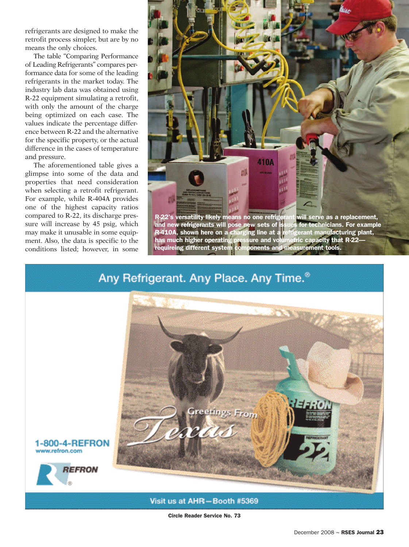refrigerants are designed to make the retrofit process simpler, but are by no means the only choices.

The table "Comparing Performance of Leading Refrigerants" compares performance data for some of the leading refrigerants in the market today. The industry lab data was obtained using R-22 equipment simulating a retrofit, with only the amount of the charge being optimized on each case. The values indicate the percentage difference between R-22 and the alternative for the specific property, or the actual difference in the cases of temperature and pressure.

The aforementioned table gives a glimpse into some of the data and properties that need consideration when selecting a retrofit refrigerant. For example, while R-404A provides one of the highest capacity ratios compared to R-22, its discharge pressure will increase by 45 psig, which may make it unusable in some equipment. Also, the data is specific to the conditions listed; however, in some



**R-22's versatility likely means no one refrigerant will serve as a replacement, and new refrigerants will pose new sets of issues for technicians. For example R-410A, shown here on a charging line at a refrigerant manufacturing plant, has much higher operating pressure and volumetric capacity that R-22 requireing different system components and measurement tools.**

## Any Refrigerant. Any Place. Any Time.<sup>®</sup>



**Circle Reader Service No. 73**